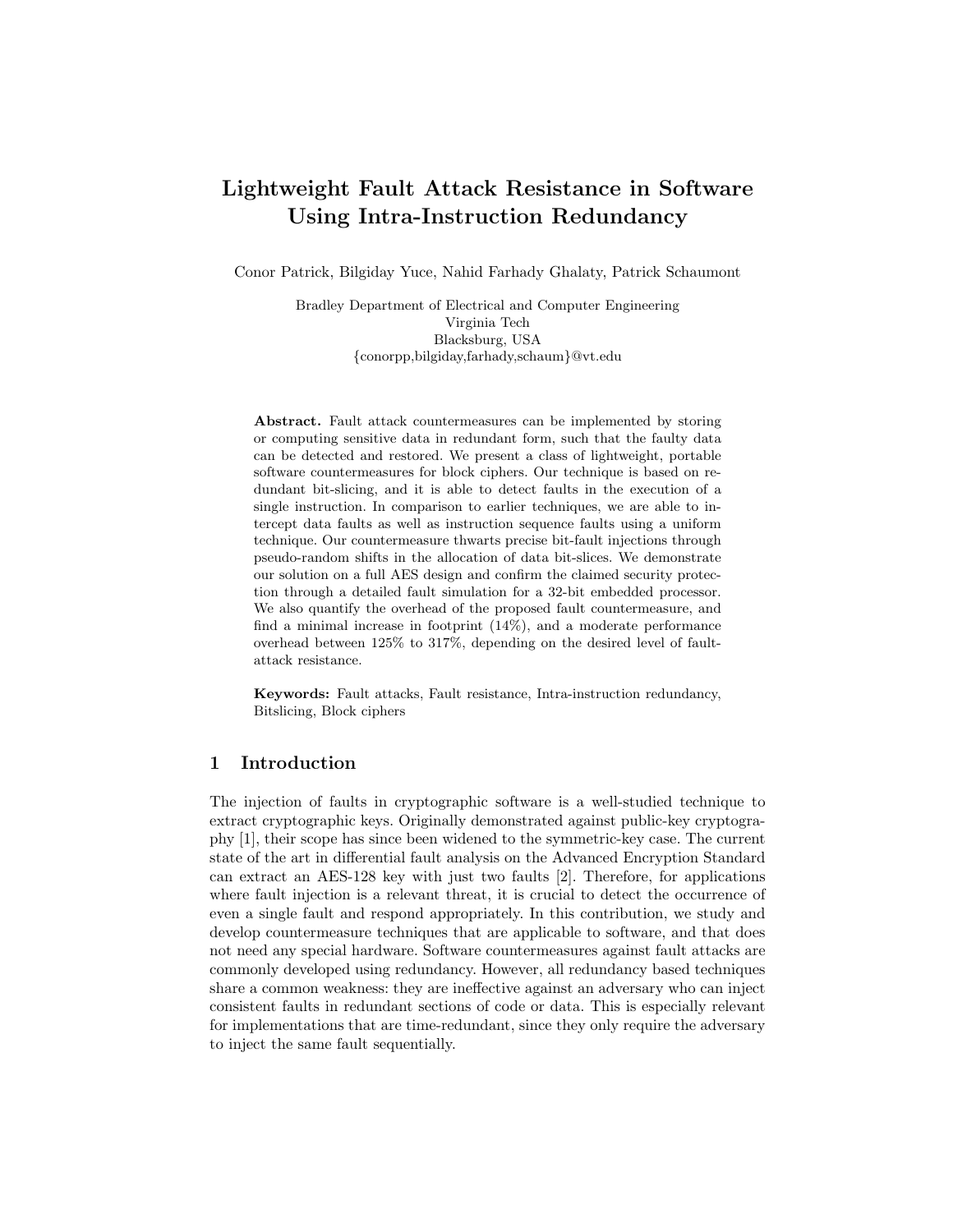# Lightweight Fault Attack Resistance in Software Using Intra-Instruction Redundancy

Conor Patrick, Bilgiday Yuce, Nahid Farhady Ghalaty, Patrick Schaumont

Bradley Department of Electrical and Computer Engineering Virginia Tech Blacksburg, USA {conorpp,bilgiday,farhady,schaum}@vt.edu

Abstract. Fault attack countermeasures can be implemented by storing or computing sensitive data in redundant form, such that the faulty data can be detected and restored. We present a class of lightweight, portable software countermeasures for block ciphers. Our technique is based on redundant bit-slicing, and it is able to detect faults in the execution of a single instruction. In comparison to earlier techniques, we are able to intercept data faults as well as instruction sequence faults using a uniform technique. Our countermeasure thwarts precise bit-fault injections through pseudo-random shifts in the allocation of data bit-slices. We demonstrate our solution on a full AES design and confirm the claimed security protection through a detailed fault simulation for a 32-bit embedded processor. We also quantify the overhead of the proposed fault countermeasure, and find a minimal increase in footprint  $(14\%)$ , and a moderate performance overhead between 125% to 317%, depending on the desired level of faultattack resistance.

Keywords: Fault attacks, Fault resistance, Intra-instruction redundancy, Bitslicing, Block ciphers

# 1 Introduction

The injection of faults in cryptographic software is a well-studied technique to extract cryptographic keys. Originally demonstrated against public-key cryptography [1], their scope has since been widened to the symmetric-key case. The current state of the art in differential fault analysis on the Advanced Encryption Standard can extract an AES-128 key with just two faults [2]. Therefore, for applications where fault injection is a relevant threat, it is crucial to detect the occurrence of even a single fault and respond appropriately. In this contribution, we study and develop countermeasure techniques that are applicable to software, and that does not need any special hardware. Software countermeasures against fault attacks are commonly developed using redundancy. However, all redundancy based techniques share a common weakness: they are ineffective against an adversary who can inject consistent faults in redundant sections of code or data. This is especially relevant for implementations that are time-redundant, since they only require the adversary to inject the same fault sequentially.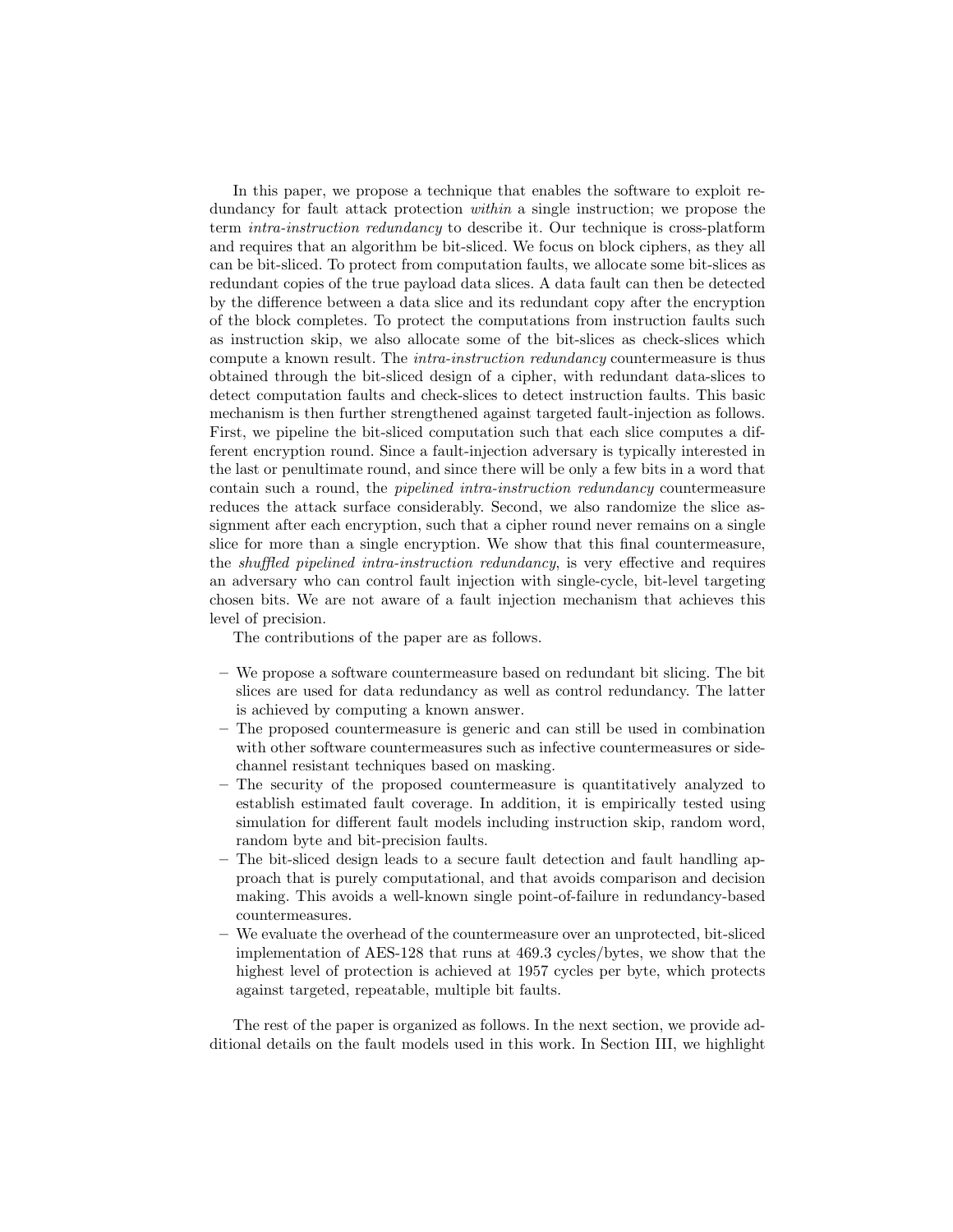In this paper, we propose a technique that enables the software to exploit redundancy for fault attack protection within a single instruction; we propose the term intra-instruction redundancy to describe it. Our technique is cross-platform and requires that an algorithm be bit-sliced. We focus on block ciphers, as they all can be bit-sliced. To protect from computation faults, we allocate some bit-slices as redundant copies of the true payload data slices. A data fault can then be detected by the difference between a data slice and its redundant copy after the encryption of the block completes. To protect the computations from instruction faults such as instruction skip, we also allocate some of the bit-slices as check-slices which compute a known result. The intra-instruction redundancy countermeasure is thus obtained through the bit-sliced design of a cipher, with redundant data-slices to detect computation faults and check-slices to detect instruction faults. This basic mechanism is then further strengthened against targeted fault-injection as follows. First, we pipeline the bit-sliced computation such that each slice computes a different encryption round. Since a fault-injection adversary is typically interested in the last or penultimate round, and since there will be only a few bits in a word that contain such a round, the pipelined intra-instruction redundancy countermeasure reduces the attack surface considerably. Second, we also randomize the slice assignment after each encryption, such that a cipher round never remains on a single slice for more than a single encryption. We show that this final countermeasure, the shuffled pipelined intra-instruction redundancy, is very effective and requires an adversary who can control fault injection with single-cycle, bit-level targeting chosen bits. We are not aware of a fault injection mechanism that achieves this level of precision.

The contributions of the paper are as follows.

- We propose a software countermeasure based on redundant bit slicing. The bit slices are used for data redundancy as well as control redundancy. The latter is achieved by computing a known answer.
- The proposed countermeasure is generic and can still be used in combination with other software countermeasures such as infective countermeasures or sidechannel resistant techniques based on masking.
- The security of the proposed countermeasure is quantitatively analyzed to establish estimated fault coverage. In addition, it is empirically tested using simulation for different fault models including instruction skip, random word, random byte and bit-precision faults.
- The bit-sliced design leads to a secure fault detection and fault handling approach that is purely computational, and that avoids comparison and decision making. This avoids a well-known single point-of-failure in redundancy-based countermeasures.
- We evaluate the overhead of the countermeasure over an unprotected, bit-sliced implementation of AES-128 that runs at 469.3 cycles/bytes, we show that the highest level of protection is achieved at 1957 cycles per byte, which protects against targeted, repeatable, multiple bit faults.

The rest of the paper is organized as follows. In the next section, we provide additional details on the fault models used in this work. In Section III, we highlight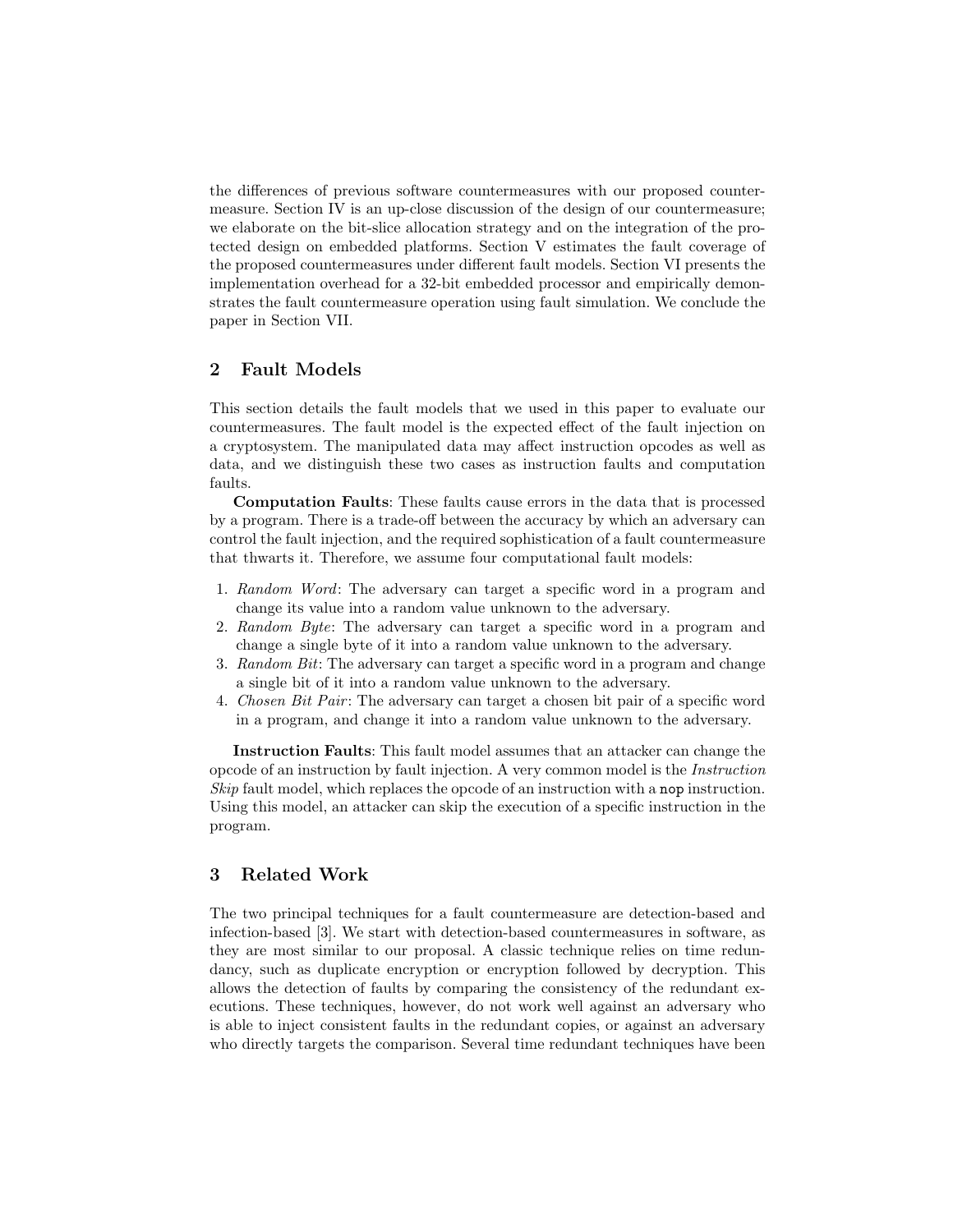the differences of previous software countermeasures with our proposed countermeasure. Section IV is an up-close discussion of the design of our countermeasure; we elaborate on the bit-slice allocation strategy and on the integration of the protected design on embedded platforms. Section V estimates the fault coverage of the proposed countermeasures under different fault models. Section VI presents the implementation overhead for a 32-bit embedded processor and empirically demonstrates the fault countermeasure operation using fault simulation. We conclude the paper in Section VII.

# 2 Fault Models

This section details the fault models that we used in this paper to evaluate our countermeasures. The fault model is the expected effect of the fault injection on a cryptosystem. The manipulated data may affect instruction opcodes as well as data, and we distinguish these two cases as instruction faults and computation faults.

Computation Faults: These faults cause errors in the data that is processed by a program. There is a trade-off between the accuracy by which an adversary can control the fault injection, and the required sophistication of a fault countermeasure that thwarts it. Therefore, we assume four computational fault models:

- 1. Random Word: The adversary can target a specific word in a program and change its value into a random value unknown to the adversary.
- 2. Random Byte: The adversary can target a specific word in a program and change a single byte of it into a random value unknown to the adversary.
- 3. Random Bit: The adversary can target a specific word in a program and change a single bit of it into a random value unknown to the adversary.
- 4. Chosen Bit Pair : The adversary can target a chosen bit pair of a specific word in a program, and change it into a random value unknown to the adversary.

Instruction Faults: This fault model assumes that an attacker can change the opcode of an instruction by fault injection. A very common model is the Instruction Skip fault model, which replaces the opcode of an instruction with a nop instruction. Using this model, an attacker can skip the execution of a specific instruction in the program.

# 3 Related Work

The two principal techniques for a fault countermeasure are detection-based and infection-based [3]. We start with detection-based countermeasures in software, as they are most similar to our proposal. A classic technique relies on time redundancy, such as duplicate encryption or encryption followed by decryption. This allows the detection of faults by comparing the consistency of the redundant executions. These techniques, however, do not work well against an adversary who is able to inject consistent faults in the redundant copies, or against an adversary who directly targets the comparison. Several time redundant techniques have been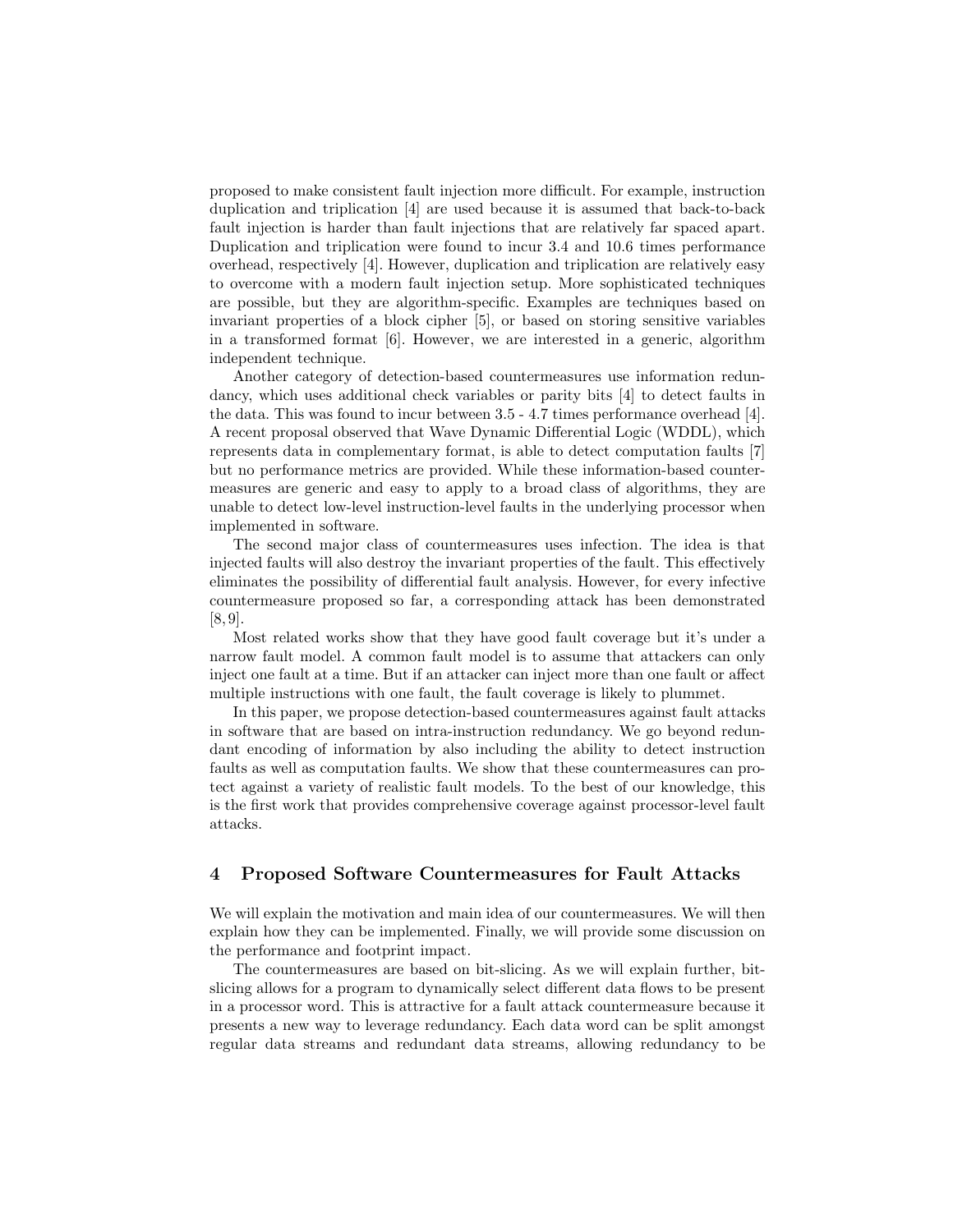proposed to make consistent fault injection more difficult. For example, instruction duplication and triplication [4] are used because it is assumed that back-to-back fault injection is harder than fault injections that are relatively far spaced apart. Duplication and triplication were found to incur 3.4 and 10.6 times performance overhead, respectively [4]. However, duplication and triplication are relatively easy to overcome with a modern fault injection setup. More sophisticated techniques are possible, but they are algorithm-specific. Examples are techniques based on invariant properties of a block cipher [5], or based on storing sensitive variables in a transformed format [6]. However, we are interested in a generic, algorithm independent technique.

Another category of detection-based countermeasures use information redundancy, which uses additional check variables or parity bits [4] to detect faults in the data. This was found to incur between 3.5 - 4.7 times performance overhead [4]. A recent proposal observed that Wave Dynamic Differential Logic (WDDL), which represents data in complementary format, is able to detect computation faults [7] but no performance metrics are provided. While these information-based countermeasures are generic and easy to apply to a broad class of algorithms, they are unable to detect low-level instruction-level faults in the underlying processor when implemented in software.

The second major class of countermeasures uses infection. The idea is that injected faults will also destroy the invariant properties of the fault. This effectively eliminates the possibility of differential fault analysis. However, for every infective countermeasure proposed so far, a corresponding attack has been demonstrated [8, 9].

Most related works show that they have good fault coverage but it's under a narrow fault model. A common fault model is to assume that attackers can only inject one fault at a time. But if an attacker can inject more than one fault or affect multiple instructions with one fault, the fault coverage is likely to plummet.

In this paper, we propose detection-based countermeasures against fault attacks in software that are based on intra-instruction redundancy. We go beyond redundant encoding of information by also including the ability to detect instruction faults as well as computation faults. We show that these countermeasures can protect against a variety of realistic fault models. To the best of our knowledge, this is the first work that provides comprehensive coverage against processor-level fault attacks.

# 4 Proposed Software Countermeasures for Fault Attacks

We will explain the motivation and main idea of our countermeasures. We will then explain how they can be implemented. Finally, we will provide some discussion on the performance and footprint impact.

The countermeasures are based on bit-slicing. As we will explain further, bitslicing allows for a program to dynamically select different data flows to be present in a processor word. This is attractive for a fault attack countermeasure because it presents a new way to leverage redundancy. Each data word can be split amongst regular data streams and redundant data streams, allowing redundancy to be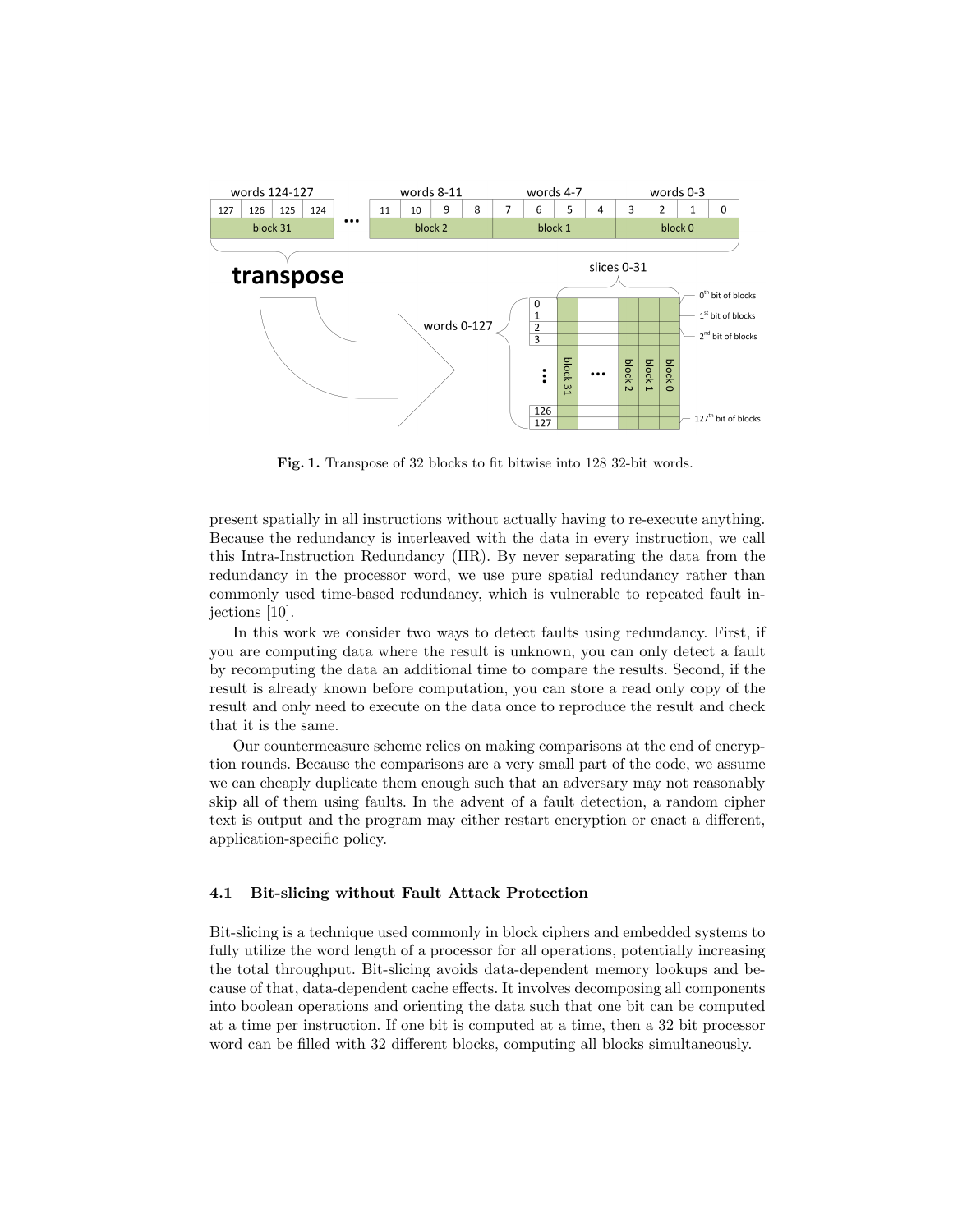

Fig. 1. Transpose of 32 blocks to fit bitwise into 128 32-bit words.

present spatially in all instructions without actually having to re-execute anything. Because the redundancy is interleaved with the data in every instruction, we call this Intra-Instruction Redundancy (IIR). By never separating the data from the redundancy in the processor word, we use pure spatial redundancy rather than commonly used time-based redundancy, which is vulnerable to repeated fault injections [10].

In this work we consider two ways to detect faults using redundancy. First, if you are computing data where the result is unknown, you can only detect a fault by recomputing the data an additional time to compare the results. Second, if the result is already known before computation, you can store a read only copy of the result and only need to execute on the data once to reproduce the result and check that it is the same.

Our countermeasure scheme relies on making comparisons at the end of encryption rounds. Because the comparisons are a very small part of the code, we assume we can cheaply duplicate them enough such that an adversary may not reasonably skip all of them using faults. In the advent of a fault detection, a random cipher text is output and the program may either restart encryption or enact a different, application-specific policy.

#### 4.1 Bit-slicing without Fault Attack Protection

Bit-slicing is a technique used commonly in block ciphers and embedded systems to fully utilize the word length of a processor for all operations, potentially increasing the total throughput. Bit-slicing avoids data-dependent memory lookups and because of that, data-dependent cache effects. It involves decomposing all components into boolean operations and orienting the data such that one bit can be computed at a time per instruction. If one bit is computed at a time, then a 32 bit processor word can be filled with 32 different blocks, computing all blocks simultaneously.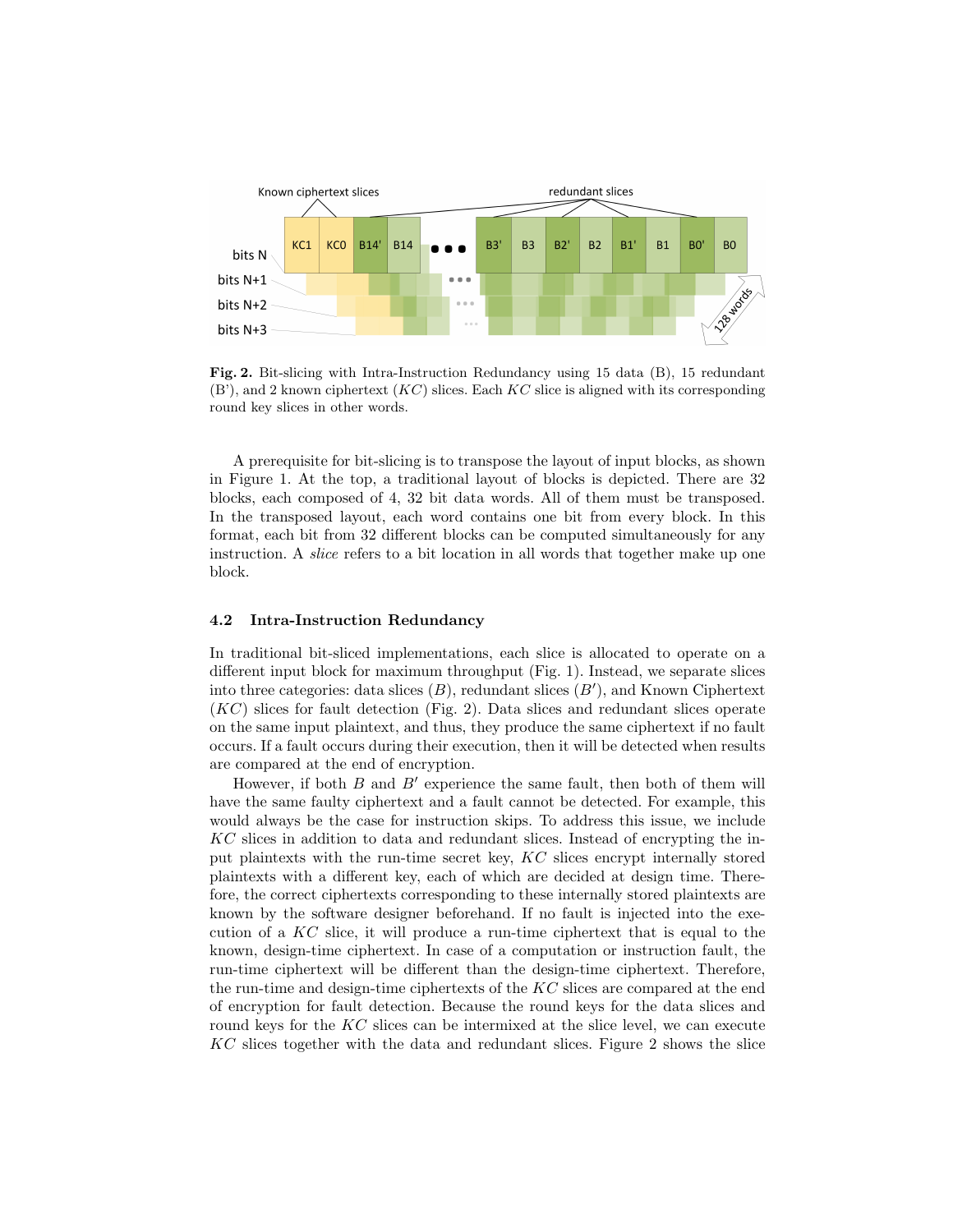

Fig. 2. Bit-slicing with Intra-Instruction Redundancy using 15 data (B), 15 redundant  $(B')$ , and 2 known ciphertext  $(KC)$  slices. Each KC slice is aligned with its corresponding round key slices in other words.

A prerequisite for bit-slicing is to transpose the layout of input blocks, as shown in Figure 1. At the top, a traditional layout of blocks is depicted. There are 32 blocks, each composed of 4, 32 bit data words. All of them must be transposed. In the transposed layout, each word contains one bit from every block. In this format, each bit from 32 different blocks can be computed simultaneously for any instruction. A slice refers to a bit location in all words that together make up one block.

## 4.2 Intra-Instruction Redundancy

In traditional bit-sliced implementations, each slice is allocated to operate on a different input block for maximum throughput (Fig. 1). Instead, we separate slices into three categories: data slices  $(B)$ , redundant slices  $(B')$ , and Known Ciphertext  $(KC)$  slices for fault detection (Fig. 2). Data slices and redundant slices operate on the same input plaintext, and thus, they produce the same ciphertext if no fault occurs. If a fault occurs during their execution, then it will be detected when results are compared at the end of encryption.

However, if both  $B$  and  $B'$  experience the same fault, then both of them will have the same faulty ciphertext and a fault cannot be detected. For example, this would always be the case for instruction skips. To address this issue, we include KC slices in addition to data and redundant slices. Instead of encrypting the input plaintexts with the run-time secret key, KC slices encrypt internally stored plaintexts with a different key, each of which are decided at design time. Therefore, the correct ciphertexts corresponding to these internally stored plaintexts are known by the software designer beforehand. If no fault is injected into the execution of a  $KC$  slice, it will produce a run-time ciphertext that is equal to the known, design-time ciphertext. In case of a computation or instruction fault, the run-time ciphertext will be different than the design-time ciphertext. Therefore, the run-time and design-time ciphertexts of the KC slices are compared at the end of encryption for fault detection. Because the round keys for the data slices and round keys for the  $KC$  slices can be intermixed at the slice level, we can execute KC slices together with the data and redundant slices. Figure 2 shows the slice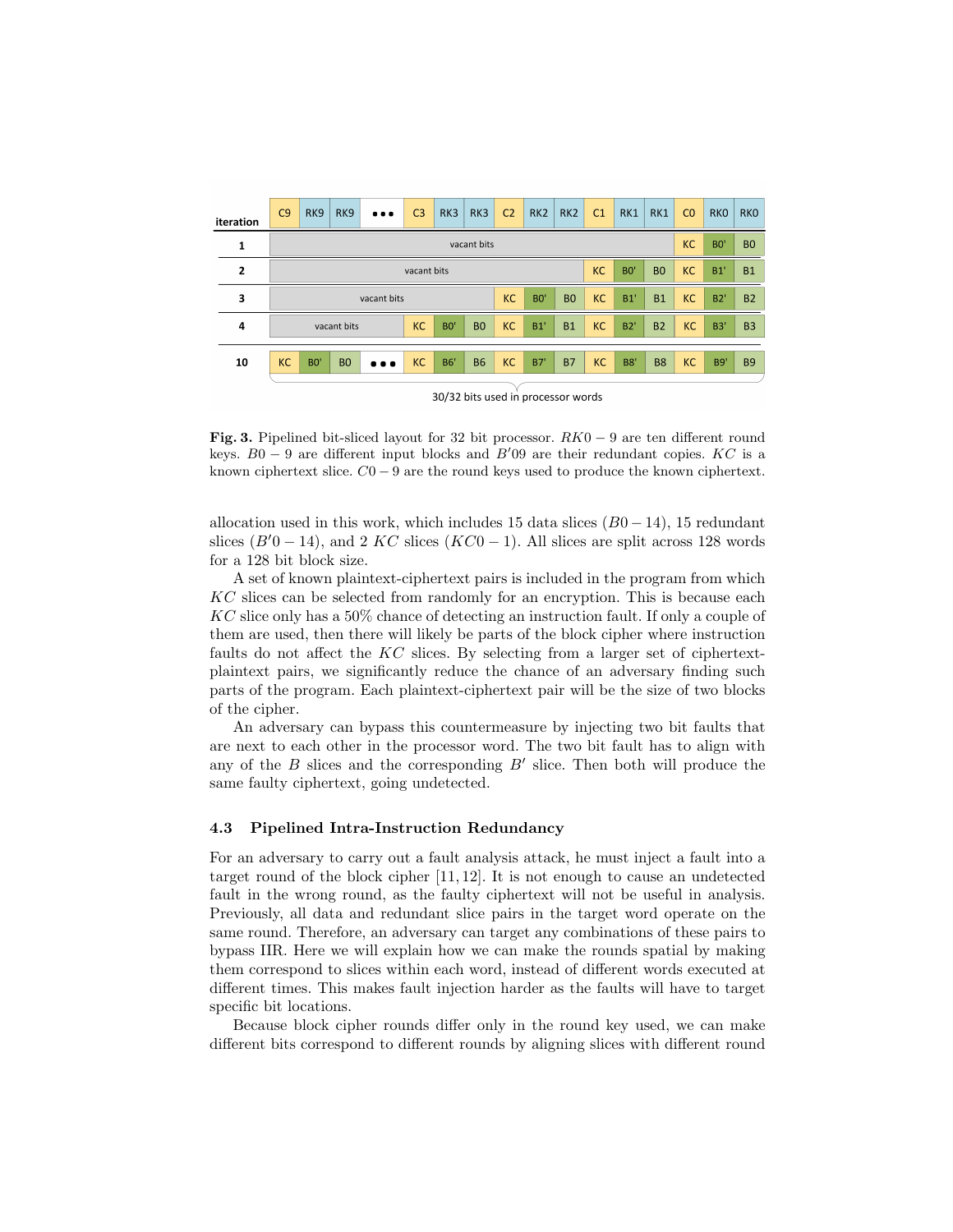| iteration | C9                                         | RK <sub>9</sub>                            | RK <sub>9</sub> | $\bullet\bullet\bullet$ | C <sub>3</sub> | RK3        | RK3            | C <sub>2</sub> | RK <sub>2</sub> | RK <sub>2</sub> | C <sub>1</sub> | RK1        | RK1       | CO | <b>RKO</b> | <b>RKO</b> |
|-----------|--------------------------------------------|--------------------------------------------|-----------------|-------------------------|----------------|------------|----------------|----------------|-----------------|-----------------|----------------|------------|-----------|----|------------|------------|
| 1         |                                            | vacant bits                                |                 |                         |                |            |                | KC             | BO'             | B <sub>0</sub>  |                |            |           |    |            |            |
| 2         |                                            | KC<br>BO'<br>B <sub>0</sub><br>vacant bits |                 |                         |                |            |                |                | KC              | B1'             | <b>B1</b>      |            |           |    |            |            |
| 3         | KC<br>vacant bits                          |                                            |                 |                         |                | BO'        | B <sub>O</sub> | KC             | B1'             | <b>B1</b>       | KC             | B2'        | <b>B2</b> |    |            |            |
| 4         | KC<br>BO'<br>B <sub>0</sub><br>vacant bits |                                            |                 |                         | KC             | B1'        | <b>B1</b>      | KC             | B2'             | <b>B2</b>       | KC             | <b>B3</b>  | <b>B3</b> |    |            |            |
| 10        | KC                                         | <b>BO</b>                                  | B <sub>0</sub>  | $\bullet\bullet\bullet$ | KC             | <b>B6'</b> | <b>B6</b>      | KC             | B7'             | <b>B7</b>       | KC             | <b>B8'</b> | <b>B8</b> | KC | B9'        | <b>B9</b>  |
|           |                                            |                                            |                 |                         |                |            |                |                |                 |                 |                |            |           |    |            |            |

30/32 bits used in processor words

Fig. 3. Pipelined bit-sliced layout for 32 bit processor.  $RK0 - 9$  are ten different round keys.  $B0 - 9$  are different input blocks and  $B'09$  are their redundant copies. KC is a known ciphertext slice.  $C0 - 9$  are the round keys used to produce the known ciphertext.

allocation used in this work, which includes 15 data slices  $(B0-14)$ , 15 redundant slices  $(B'0 - 14)$ , and 2 KC slices  $(KC_0 - 1)$ . All slices are split across 128 words for a 128 bit block size.

A set of known plaintext-ciphertext pairs is included in the program from which KC slices can be selected from randomly for an encryption. This is because each KC slice only has a 50% chance of detecting an instruction fault. If only a couple of them are used, then there will likely be parts of the block cipher where instruction faults do not affect the KC slices. By selecting from a larger set of ciphertextplaintext pairs, we significantly reduce the chance of an adversary finding such parts of the program. Each plaintext-ciphertext pair will be the size of two blocks of the cipher.

An adversary can bypass this countermeasure by injecting two bit faults that are next to each other in the processor word. The two bit fault has to align with any of the  $B$  slices and the corresponding  $B'$  slice. Then both will produce the same faulty ciphertext, going undetected.

#### 4.3 Pipelined Intra-Instruction Redundancy

For an adversary to carry out a fault analysis attack, he must inject a fault into a target round of the block cipher [11, 12]. It is not enough to cause an undetected fault in the wrong round, as the faulty ciphertext will not be useful in analysis. Previously, all data and redundant slice pairs in the target word operate on the same round. Therefore, an adversary can target any combinations of these pairs to bypass IIR. Here we will explain how we can make the rounds spatial by making them correspond to slices within each word, instead of different words executed at different times. This makes fault injection harder as the faults will have to target specific bit locations.

Because block cipher rounds differ only in the round key used, we can make different bits correspond to different rounds by aligning slices with different round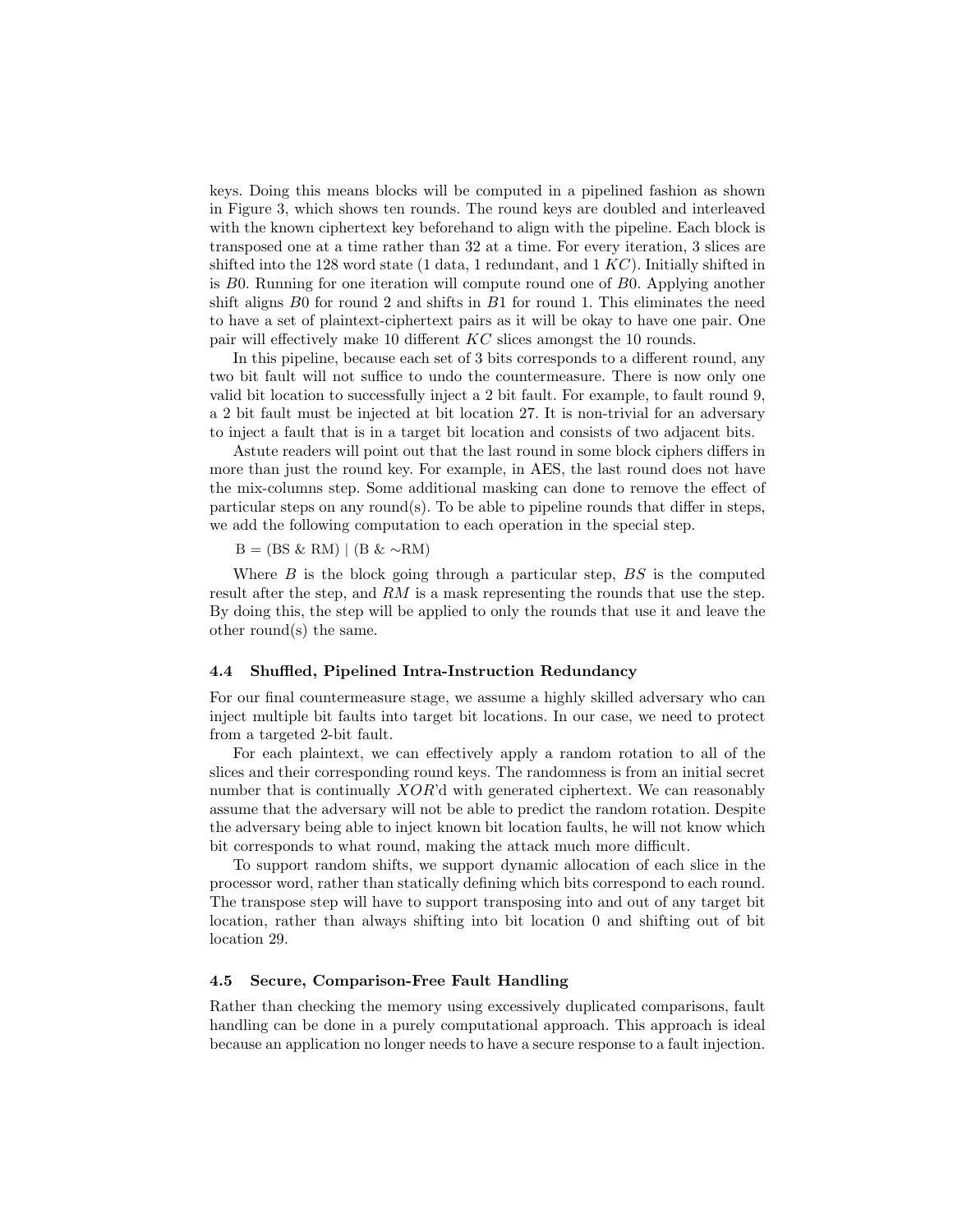keys. Doing this means blocks will be computed in a pipelined fashion as shown in Figure 3, which shows ten rounds. The round keys are doubled and interleaved with the known ciphertext key beforehand to align with the pipeline. Each block is transposed one at a time rather than 32 at a time. For every iteration, 3 slices are shifted into the 128 word state  $(1 \text{ data}, 1 \text{ redundant}, \text{ and } 1 \text{ KC})$ . Initially shifted in is B0. Running for one iteration will compute round one of B0. Applying another shift aligns  $B0$  for round 2 and shifts in  $B1$  for round 1. This eliminates the need to have a set of plaintext-ciphertext pairs as it will be okay to have one pair. One pair will effectively make 10 different KC slices amongst the 10 rounds.

In this pipeline, because each set of 3 bits corresponds to a different round, any two bit fault will not suffice to undo the countermeasure. There is now only one valid bit location to successfully inject a 2 bit fault. For example, to fault round 9, a 2 bit fault must be injected at bit location 27. It is non-trivial for an adversary to inject a fault that is in a target bit location and consists of two adjacent bits.

Astute readers will point out that the last round in some block ciphers differs in more than just the round key. For example, in AES, the last round does not have the mix-columns step. Some additional masking can done to remove the effect of particular steps on any round(s). To be able to pipeline rounds that differ in steps, we add the following computation to each operation in the special step.

 $B = (BS & RM)$  | (B & ∼RM)

Where  $B$  is the block going through a particular step,  $BS$  is the computed result after the step, and RM is a mask representing the rounds that use the step. By doing this, the step will be applied to only the rounds that use it and leave the other round(s) the same.

#### 4.4 Shuffled, Pipelined Intra-Instruction Redundancy

For our final countermeasure stage, we assume a highly skilled adversary who can inject multiple bit faults into target bit locations. In our case, we need to protect from a targeted 2-bit fault.

For each plaintext, we can effectively apply a random rotation to all of the slices and their corresponding round keys. The randomness is from an initial secret number that is continually  $XOR<sup>2</sup>$  with generated ciphertext. We can reasonably assume that the adversary will not be able to predict the random rotation. Despite the adversary being able to inject known bit location faults, he will not know which bit corresponds to what round, making the attack much more difficult.

To support random shifts, we support dynamic allocation of each slice in the processor word, rather than statically defining which bits correspond to each round. The transpose step will have to support transposing into and out of any target bit location, rather than always shifting into bit location 0 and shifting out of bit location 29.

#### 4.5 Secure, Comparison-Free Fault Handling

Rather than checking the memory using excessively duplicated comparisons, fault handling can be done in a purely computational approach. This approach is ideal because an application no longer needs to have a secure response to a fault injection.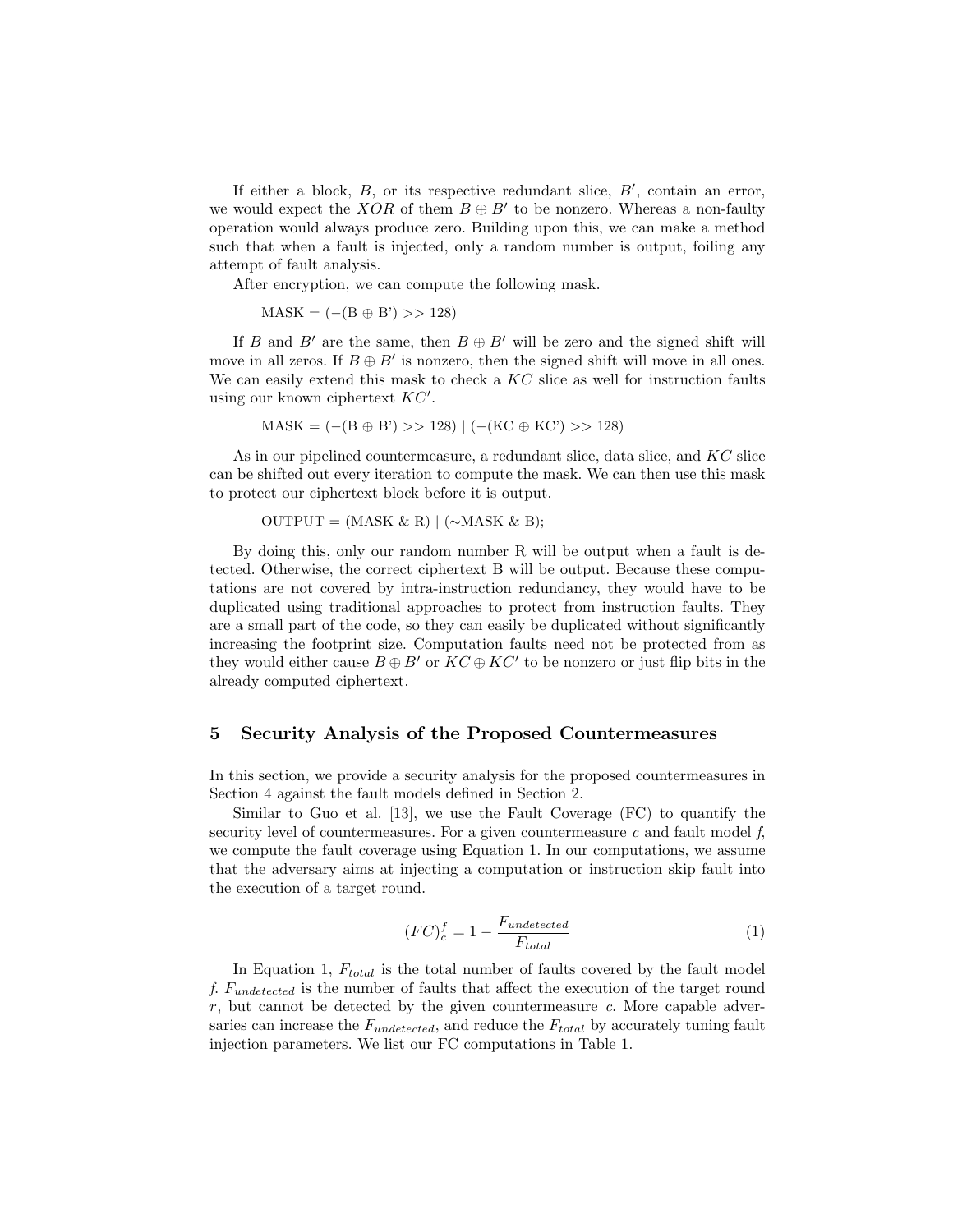If either a block,  $B$ , or its respective redundant slice,  $B'$ , contain an error, we would expect the  $XOR$  of them  $B \oplus B'$  to be nonzero. Whereas a non-faulty operation would always produce zero. Building upon this, we can make a method such that when a fault is injected, only a random number is output, foiling any attempt of fault analysis.

After encryption, we can compute the following mask.

$$
MASK = (-(B \oplus B') \gg 128)
$$

If B and B' are the same, then  $B \oplus B'$  will be zero and the signed shift will move in all zeros. If  $B \oplus B'$  is nonzero, then the signed shift will move in all ones. We can easily extend this mask to check a  $KC$  slice as well for instruction faults using our known ciphertext  $KC'$ .

 $MASK = (- (B \oplus B') >> 128) | (- (KC \oplus KC') >> 128)$ 

As in our pipelined countermeasure, a redundant slice, data slice, and KC slice can be shifted out every iteration to compute the mask. We can then use this mask to protect our ciphertext block before it is output.

$$
OUTPUT = (MASK & R) | (\sim \text{MASK} & B);
$$

By doing this, only our random number R will be output when a fault is detected. Otherwise, the correct ciphertext B will be output. Because these computations are not covered by intra-instruction redundancy, they would have to be duplicated using traditional approaches to protect from instruction faults. They are a small part of the code, so they can easily be duplicated without significantly increasing the footprint size. Computation faults need not be protected from as they would either cause  $B \oplus B'$  or  $KC \oplus KC'$  to be nonzero or just flip bits in the already computed ciphertext.

## 5 Security Analysis of the Proposed Countermeasures

In this section, we provide a security analysis for the proposed countermeasures in Section 4 against the fault models defined in Section 2.

Similar to Guo et al. [13], we use the Fault Coverage (FC) to quantify the security level of countermeasures. For a given countermeasure c and fault model  $f$ , we compute the fault coverage using Equation 1. In our computations, we assume that the adversary aims at injecting a computation or instruction skip fault into the execution of a target round.

$$
(FC)^f_c = 1 - \frac{F_{undetected}}{F_{total}}\tag{1}
$$

In Equation 1,  $F_{total}$  is the total number of faults covered by the fault model f.  $F_{undetected}$  is the number of faults that affect the execution of the target round  $r$ , but cannot be detected by the given countermeasure  $c$ . More capable adversaries can increase the  $F_{undetected}$ , and reduce the  $F_{total}$  by accurately tuning fault injection parameters. We list our FC computations in Table 1.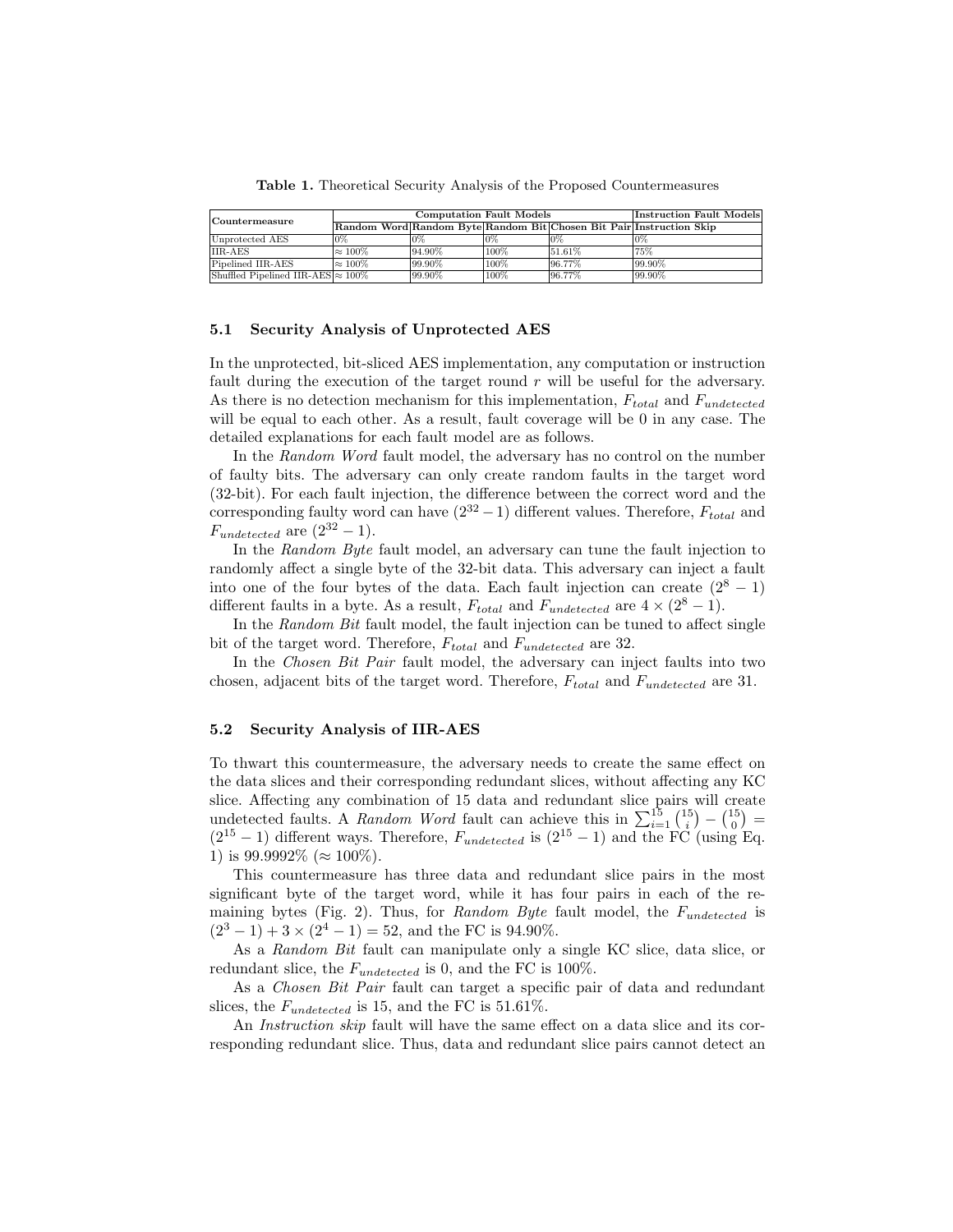Table 1. Theoretical Security Analysis of the Proposed Countermeasures

| Countermeasure                             |                 | Instruction Fault Models |      |        |                                                                     |
|--------------------------------------------|-----------------|--------------------------|------|--------|---------------------------------------------------------------------|
|                                            |                 |                          |      |        | Random Word Random Byte Random Bit Chosen Bit Pair Instruction Skip |
| Unprotected AES                            | 10%             | $0\%$                    | 10%  | $0\%$  | $10\%$                                                              |
| IIIR-AES                                   | $\approx 100\%$ | 94.90%                   | 100% | 51.61% | '75%                                                                |
| Pipelined IIR-AES                          | $\approx 100\%$ | 99.90%                   | 100% | 96.77% | $199.90\%$                                                          |
| Shuffled Pipelined IIR-AES $\approx 100\%$ |                 | 99.90%                   | 100% | 96.77% | $199.90\%$                                                          |

#### 5.1 Security Analysis of Unprotected AES

In the unprotected, bit-sliced AES implementation, any computation or instruction fault during the execution of the target round r will be useful for the adversary. As there is no detection mechanism for this implementation,  $F_{total}$  and  $F_{undetected}$ will be equal to each other. As a result, fault coverage will be 0 in any case. The detailed explanations for each fault model are as follows.

In the Random Word fault model, the adversary has no control on the number of faulty bits. The adversary can only create random faults in the target word (32-bit). For each fault injection, the difference between the correct word and the corresponding faulty word can have  $(2^{32}-1)$  different values. Therefore,  $F_{total}$  and  $F_{undetected}$  are  $(2^{32} - 1)$ .

In the Random Byte fault model, an adversary can tune the fault injection to randomly affect a single byte of the 32-bit data. This adversary can inject a fault into one of the four bytes of the data. Each fault injection can create  $(2^8 - 1)$ different faults in a byte. As a result,  $F_{total}$  and  $F_{undetected}$  are  $4 \times (2^8 - 1)$ .

In the Random Bit fault model, the fault injection can be tuned to affect single bit of the target word. Therefore,  $F_{total}$  and  $F_{undetected}$  are 32.

In the Chosen Bit Pair fault model, the adversary can inject faults into two chosen, adjacent bits of the target word. Therefore,  $F_{total}$  and  $F_{undetected}$  are 31.

#### 5.2 Security Analysis of IIR-AES

To thwart this countermeasure, the adversary needs to create the same effect on the data slices and their corresponding redundant slices, without affecting any KC slice. Affecting any combination of 15 data and redundant slice pairs will create undetected faults. A *Random Word* fault can achieve this in  $\sum_{i=1}^{15} {\binom{15}{i}} - {\binom{15}{0}} =$  $(2^{15}-1)$  different ways. Therefore,  $F_{undetected}$  is  $(2^{15}-1)$  and the FC (using Eq. 1) is  $99.9992\%$  ( $\approx 100\%$ ).

This countermeasure has three data and redundant slice pairs in the most significant byte of the target word, while it has four pairs in each of the remaining bytes (Fig. 2). Thus, for Random Byte fault model, the  $F_{undetected}$  is  $(2^3 - 1) + 3 \times (2^4 - 1) = 52$ , and the FC is 94.90%.

As a Random Bit fault can manipulate only a single KC slice, data slice, or redundant slice, the  $F_{undetected}$  is 0, and the FC is 100%.

As a Chosen Bit Pair fault can target a specific pair of data and redundant slices, the  $F_{undetected}$  is 15, and the FC is 51.61%.

An Instruction skip fault will have the same effect on a data slice and its corresponding redundant slice. Thus, data and redundant slice pairs cannot detect an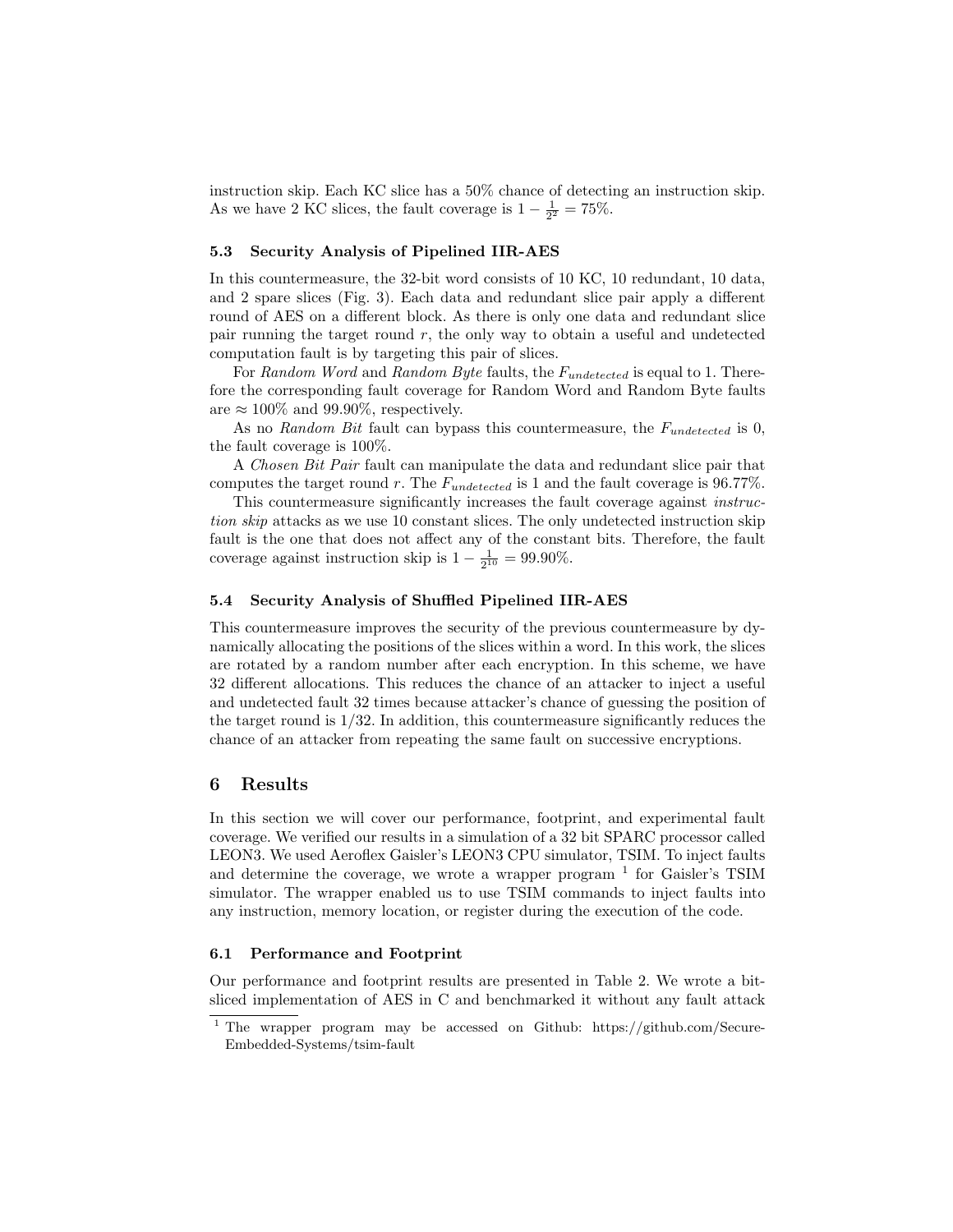instruction skip. Each KC slice has a 50% chance of detecting an instruction skip. As we have 2 KC slices, the fault coverage is  $1 - \frac{1}{2^2} = 75\%$ .

## 5.3 Security Analysis of Pipelined IIR-AES

In this countermeasure, the 32-bit word consists of 10 KC, 10 redundant, 10 data, and 2 spare slices (Fig. 3). Each data and redundant slice pair apply a different round of AES on a different block. As there is only one data and redundant slice pair running the target round  $r$ , the only way to obtain a useful and undetected computation fault is by targeting this pair of slices.

For Random Word and Random Byte faults, the  $F_{undetected}$  is equal to 1. Therefore the corresponding fault coverage for Random Word and Random Byte faults are  $\approx 100\%$  and 99.90%, respectively.

As no Random Bit fault can bypass this countermeasure, the  $F_{undetected}$  is 0, the fault coverage is 100%.

A Chosen Bit Pair fault can manipulate the data and redundant slice pair that computes the target round r. The  $F_{undetected}$  is 1 and the fault coverage is 96.77%.

This countermeasure significantly increases the fault coverage against instruction skip attacks as we use 10 constant slices. The only undetected instruction skip fault is the one that does not affect any of the constant bits. Therefore, the fault coverage against instruction skip is  $1 - \frac{1}{2^{10}} = 99.90\%$ .

### 5.4 Security Analysis of Shuffled Pipelined IIR-AES

This countermeasure improves the security of the previous countermeasure by dynamically allocating the positions of the slices within a word. In this work, the slices are rotated by a random number after each encryption. In this scheme, we have 32 different allocations. This reduces the chance of an attacker to inject a useful and undetected fault 32 times because attacker's chance of guessing the position of the target round is  $1/32$ . In addition, this countermeasure significantly reduces the chance of an attacker from repeating the same fault on successive encryptions.

#### 6 Results

In this section we will cover our performance, footprint, and experimental fault coverage. We verified our results in a simulation of a 32 bit SPARC processor called LEON3. We used Aeroflex Gaisler's LEON3 CPU simulator, TSIM. To inject faults and determine the coverage, we wrote a wrapper program  $<sup>1</sup>$  for Gaisler's TSIM</sup> simulator. The wrapper enabled us to use TSIM commands to inject faults into any instruction, memory location, or register during the execution of the code.

#### 6.1 Performance and Footprint

Our performance and footprint results are presented in Table 2. We wrote a bitsliced implementation of AES in C and benchmarked it without any fault attack

<sup>1</sup> The wrapper program may be accessed on Github: https://github.com/Secure-Embedded-Systems/tsim-fault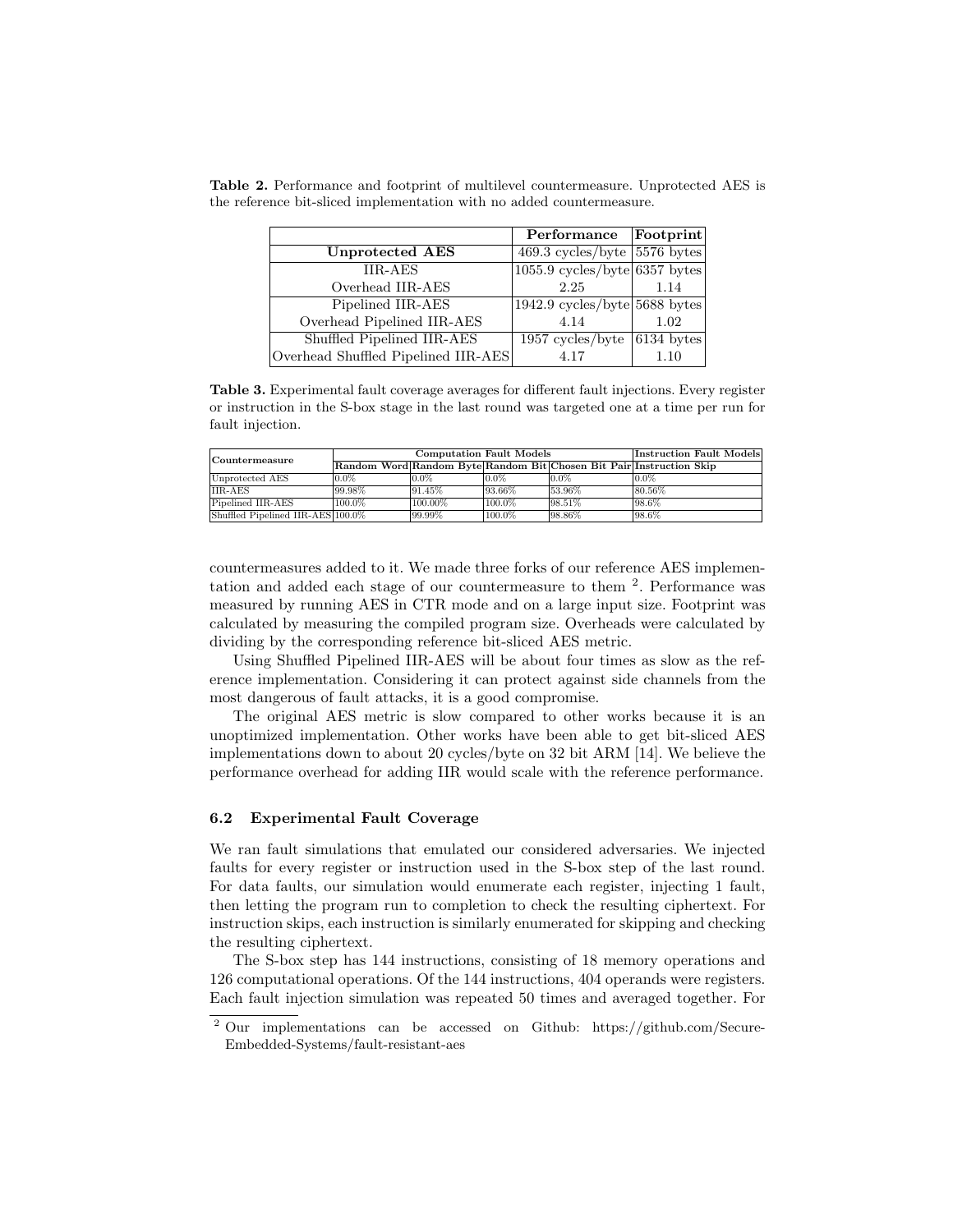|                                     | Performance                       | Footprint  |
|-------------------------------------|-----------------------------------|------------|
| <b>Unprotected AES</b>              | $469.3$ cycles/byte $ 5576$ bytes |            |
| IIR-AES                             | $1055.9$ cycles/byte 6357 bytes   |            |
| Overhead IIR-AES                    | 2.25                              | 1.14       |
| Pipelined IIR-AES                   | $1942.9$ cycles/byte 5688 bytes   |            |
| Overhead Pipelined IIR-AES          | 4.14                              | 1.02       |
| Shuffled Pipelined IIR-AES          | $1957$ cycles/byte                | 6134 bytes |
| Overhead Shuffled Pipelined IIR-AES | 4.17                              | 1.10       |

Table 2. Performance and footprint of multilevel countermeasure. Unprotected AES is the reference bit-sliced implementation with no added countermeasure.

Table 3. Experimental fault coverage averages for different fault injections. Every register or instruction in the S-box stage in the last round was targeted one at a time per run for fault injection.

| Countermeasure                    |         | Instruction Fault Models |         |         |                                                                     |
|-----------------------------------|---------|--------------------------|---------|---------|---------------------------------------------------------------------|
|                                   |         |                          |         |         | Random Word Random Byte Random Bit Chosen Bit Pair Instruction Skip |
| Unprotected AES                   | $0.0\%$ | $0.0\%$                  | $0.0\%$ | $0.0\%$ | $10.0\%$                                                            |
| IIR-AES                           | 99.98%  | 91.45%                   | 93.66%  | 53.96%  | 80.56%                                                              |
| Pipelined IIR-AES                 | 100.0%  | 100.00%                  | 100.0%  | 98.51%  | 98.6%                                                               |
| Shuffled Pipelined IIR-AES 100.0% |         | 99.99%                   | 100.0%  | 98.86%  | 98.6%                                                               |

countermeasures added to it. We made three forks of our reference AES implementation and added each stage of our countermeasure to them <sup>2</sup>. Performance was measured by running AES in CTR mode and on a large input size. Footprint was calculated by measuring the compiled program size. Overheads were calculated by dividing by the corresponding reference bit-sliced AES metric.

Using Shuffled Pipelined IIR-AES will be about four times as slow as the reference implementation. Considering it can protect against side channels from the most dangerous of fault attacks, it is a good compromise.

The original AES metric is slow compared to other works because it is an unoptimized implementation. Other works have been able to get bit-sliced AES implementations down to about 20 cycles/byte on 32 bit ARM [14]. We believe the performance overhead for adding IIR would scale with the reference performance.

## 6.2 Experimental Fault Coverage

We ran fault simulations that emulated our considered adversaries. We injected faults for every register or instruction used in the S-box step of the last round. For data faults, our simulation would enumerate each register, injecting 1 fault, then letting the program run to completion to check the resulting ciphertext. For instruction skips, each instruction is similarly enumerated for skipping and checking the resulting ciphertext.

The S-box step has 144 instructions, consisting of 18 memory operations and 126 computational operations. Of the 144 instructions, 404 operands were registers. Each fault injection simulation was repeated 50 times and averaged together. For

<sup>&</sup>lt;sup>2</sup> Our implementations can be accessed on Github: https://github.com/Secure-Embedded-Systems/fault-resistant-aes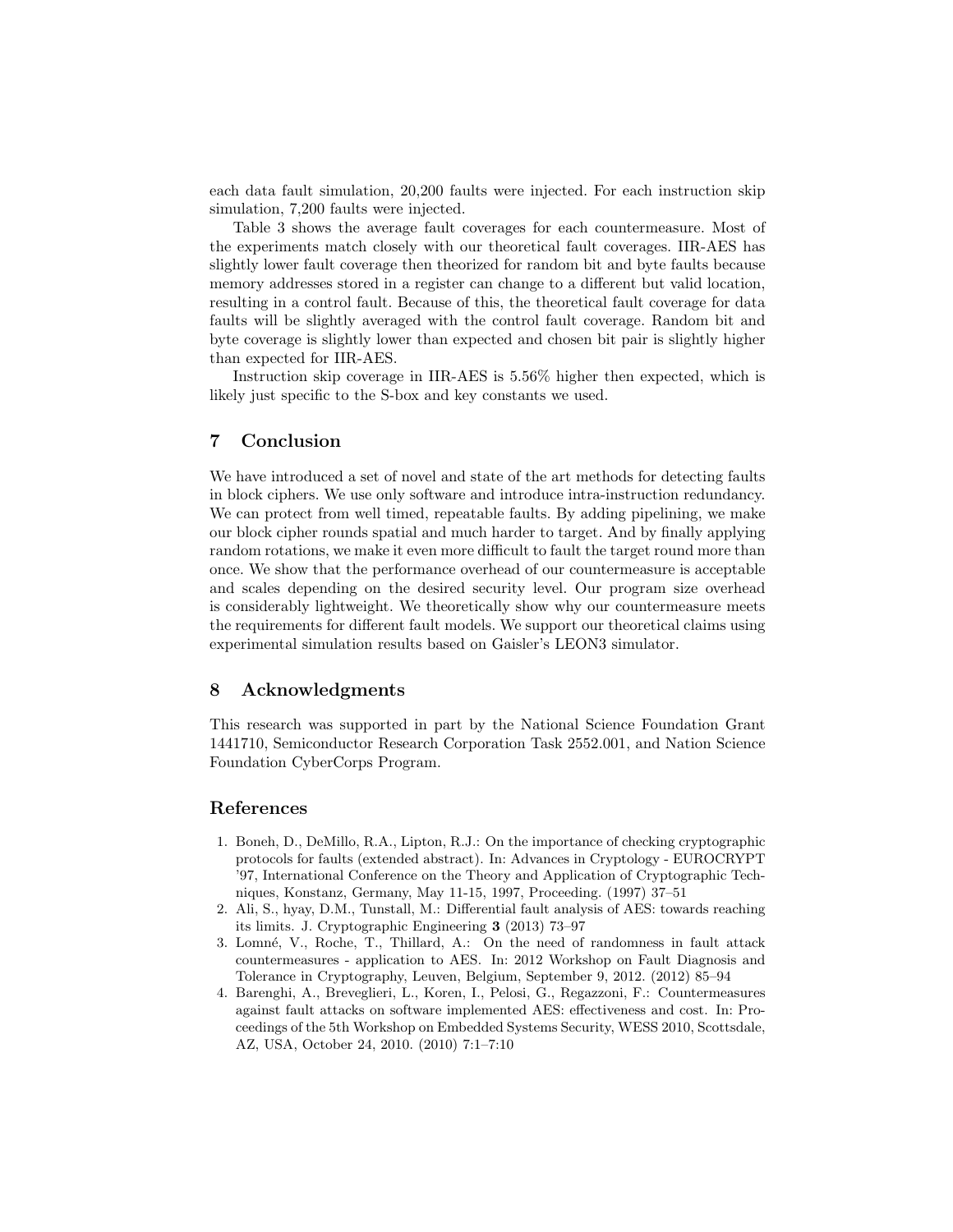each data fault simulation, 20,200 faults were injected. For each instruction skip simulation, 7,200 faults were injected.

Table 3 shows the average fault coverages for each countermeasure. Most of the experiments match closely with our theoretical fault coverages. IIR-AES has slightly lower fault coverage then theorized for random bit and byte faults because memory addresses stored in a register can change to a different but valid location, resulting in a control fault. Because of this, the theoretical fault coverage for data faults will be slightly averaged with the control fault coverage. Random bit and byte coverage is slightly lower than expected and chosen bit pair is slightly higher than expected for IIR-AES.

Instruction skip coverage in IIR-AES is 5.56% higher then expected, which is likely just specific to the S-box and key constants we used.

# 7 Conclusion

We have introduced a set of novel and state of the art methods for detecting faults in block ciphers. We use only software and introduce intra-instruction redundancy. We can protect from well timed, repeatable faults. By adding pipelining, we make our block cipher rounds spatial and much harder to target. And by finally applying random rotations, we make it even more difficult to fault the target round more than once. We show that the performance overhead of our countermeasure is acceptable and scales depending on the desired security level. Our program size overhead is considerably lightweight. We theoretically show why our countermeasure meets the requirements for different fault models. We support our theoretical claims using experimental simulation results based on Gaisler's LEON3 simulator.

## 8 Acknowledgments

This research was supported in part by the National Science Foundation Grant 1441710, Semiconductor Research Corporation Task 2552.001, and Nation Science Foundation CyberCorps Program.

## References

- 1. Boneh, D., DeMillo, R.A., Lipton, R.J.: On the importance of checking cryptographic protocols for faults (extended abstract). In: Advances in Cryptology - EUROCRYPT '97, International Conference on the Theory and Application of Cryptographic Techniques, Konstanz, Germany, May 11-15, 1997, Proceeding. (1997) 37–51
- 2. Ali, S., hyay, D.M., Tunstall, M.: Differential fault analysis of AES: towards reaching its limits. J. Cryptographic Engineering 3 (2013) 73–97
- 3. Lomné, V., Roche, T., Thillard, A.: On the need of randomness in fault attack countermeasures - application to AES. In: 2012 Workshop on Fault Diagnosis and Tolerance in Cryptography, Leuven, Belgium, September 9, 2012. (2012) 85–94
- 4. Barenghi, A., Breveglieri, L., Koren, I., Pelosi, G., Regazzoni, F.: Countermeasures against fault attacks on software implemented AES: effectiveness and cost. In: Proceedings of the 5th Workshop on Embedded Systems Security, WESS 2010, Scottsdale, AZ, USA, October 24, 2010. (2010) 7:1–7:10